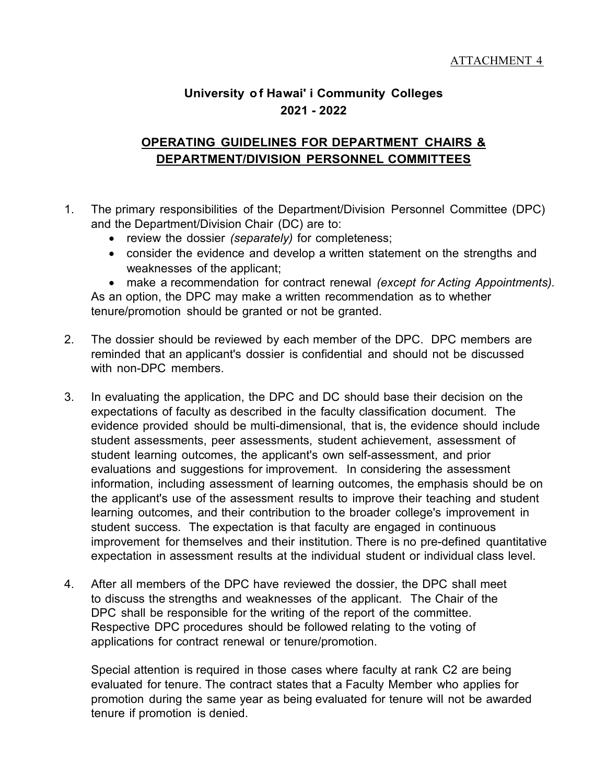## **University of Hawai' i Community Colleges 2021 - 2022**

## **OPERATING GUIDELINES FOR DEPARTMENT CHAIRS & DEPARTMENT/DIVISION PERSONNEL COMMITTEES**

- 1. The primary responsibilities of the Department/Division Personnel Committee (DPC) and the Department/Division Chair (DC) are to:
	- review the dossier *(separately)* for completeness;
	- consider the evidence and develop a written statement on the strengths and weaknesses of the applicant;

• make a recommendation for contract renewal *(except for Acting Appointments).* As an option, the DPC may make a written recommendation as to whether tenure/promotion should be granted or not be granted.

- 2. The dossier should be reviewed by each member of the DPC. DPC members are reminded that an applicant's dossier is confidential and should not be discussed with non-DPC members.
- 3. In evaluating the application, the DPC and DC should base their decision on the expectations of faculty as described in the faculty classification document. The evidence provided should be multi-dimensional, that is, the evidence should include student assessments, peer assessments, student achievement, assessment of student learning outcomes, the applicant's own self-assessment, and prior evaluations and suggestions for improvement. In considering the assessment information, including assessment of learning outcomes, the emphasis should be on the applicant's use of the assessment results to improve their teaching and student learning outcomes, and their contribution to the broader college's improvement in student success. The expectation is that faculty are engaged in continuous improvement for themselves and their institution. There is no pre-defined quantitative expectation in assessment results at the individual student or individual class level.
- 4. After all members of the DPC have reviewed the dossier, the DPC shall meet to discuss the strengths and weaknesses of the applicant. The Chair of the DPC shall be responsible for the writing of the report of the committee. Respective DPC procedures should be followed relating to the voting of applications for contract renewal or tenure/promotion.

Special attention is required in those cases where faculty at rank C2 are being evaluated for tenure. The contract states that a Faculty Member who applies for promotion during the same year as being evaluated for tenure will not be awarded tenure if promotion is denied.